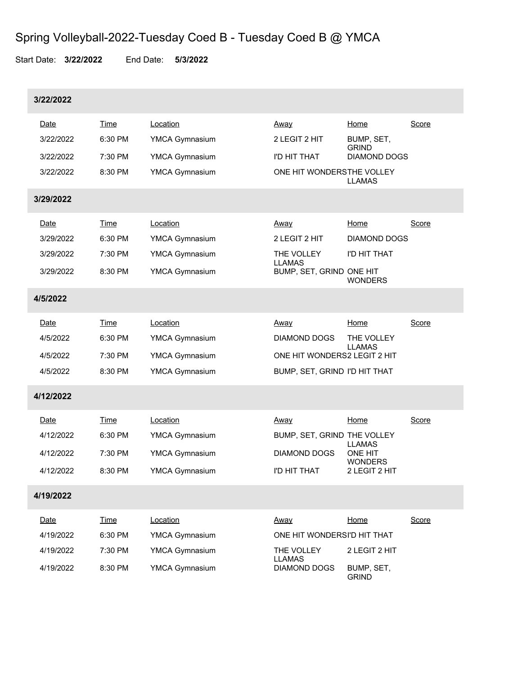## Spring Volleyball-2022-Tuesday Coed B - Tuesday Coed B @ YMCA

Start Date: **3/22/2022** End Date: **5/3/2022**

| 3/22/2022 |             |                       |                               |                                                                    |              |
|-----------|-------------|-----------------------|-------------------------------|--------------------------------------------------------------------|--------------|
| Date      | <b>Time</b> | Location              | <u>Away</u>                   | <u>Home</u>                                                        | Score        |
| 3/22/2022 | 6:30 PM     | <b>YMCA Gymnasium</b> | 2 LEGIT 2 HIT                 | BUMP, SET,<br><b>GRIND</b>                                         |              |
| 3/22/2022 | 7:30 PM     | YMCA Gymnasium        | I'D HIT THAT                  | <b>DIAMOND DOGS</b>                                                |              |
| 3/22/2022 | 8:30 PM     | YMCA Gymnasium        | ONE HIT WONDERSTHE VOLLEY     | <b>LLAMAS</b>                                                      |              |
| 3/29/2022 |             |                       |                               |                                                                    |              |
| Date      | <b>Time</b> | Location              | <u>Away</u>                   | Home                                                               | Score        |
| 3/29/2022 | 6:30 PM     | YMCA Gymnasium        | 2 LEGIT 2 HIT                 | <b>DIAMOND DOGS</b>                                                |              |
| 3/29/2022 | 7:30 PM     | YMCA Gymnasium        | THE VOLLEY<br><b>LLAMAS</b>   | I'D HIT THAT                                                       |              |
| 3/29/2022 | 8:30 PM     | <b>YMCA Gymnasium</b> | BUMP, SET, GRIND ONE HIT      | <b>WONDERS</b>                                                     |              |
| 4/5/2022  |             |                       |                               |                                                                    |              |
| Date      | <b>Time</b> | Location              | Away                          | <b>Home</b>                                                        | Score        |
| 4/5/2022  | 6:30 PM     | YMCA Gymnasium        | DIAMOND DOGS                  | THE VOLLEY                                                         |              |
| 4/5/2022  | 7:30 PM     | YMCA Gymnasium        | ONE HIT WONDERS2 LEGIT 2 HIT  | <b>LLAMAS</b>                                                      |              |
| 4/5/2022  | 8:30 PM     | YMCA Gymnasium        | BUMP, SET, GRIND I'D HIT THAT |                                                                    |              |
| 4/12/2022 |             |                       |                               |                                                                    |              |
| Date      | <b>Time</b> | Location              | <u>Away</u>                   | Home                                                               | Score        |
| 4/12/2022 | 6:30 PM     | YMCA Gymnasium        | BUMP, SET, GRIND THE VOLLEY   |                                                                    |              |
| 4/12/2022 | 7:30 PM     | YMCA Gymnasium        | DIAMOND DOGS                  | <b>LLAMAS</b><br><b>ONE HIT</b><br><b>WONDERS</b><br>2 LEGIT 2 HIT |              |
| 4/12/2022 | 8:30 PM     | <b>YMCA Gymnasium</b> | I'D HIT THAT                  |                                                                    |              |
| 4/19/2022 |             |                       |                               |                                                                    |              |
| Date      | <b>Time</b> | Location              | Away                          | Home                                                               | <b>Score</b> |
| 4/19/2022 | 6:30 PM     | YMCA Gymnasium        | ONE HIT WONDERSI'D HIT THAT   |                                                                    |              |
| 4/19/2022 | 7:30 PM     | YMCA Gymnasium        | THE VOLLEY<br><b>LLAMAS</b>   | 2 LEGIT 2 HIT                                                      |              |
| 4/19/2022 | 8:30 PM     | <b>YMCA Gymnasium</b> | DIAMOND DOGS                  | BUMP, SET,<br><b>GRIND</b>                                         |              |